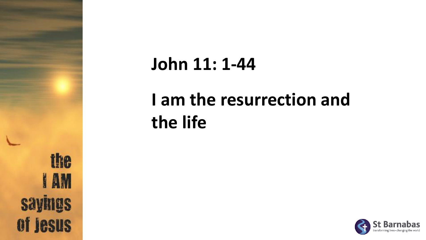

#### **John 11: 1-44**

### **I am the resurrection and the life**

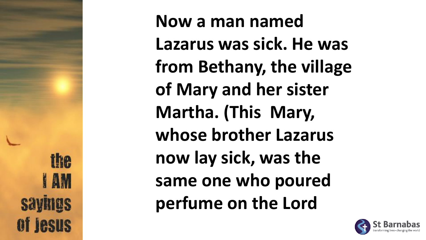**ihe AM** of lesus

**Now a man named Lazarus was sick. He was from Bethany, the village of Mary and her sister Martha. (This Mary, whose brother Lazarus now lay sick, was the same one who poured perfume on the Lord** 

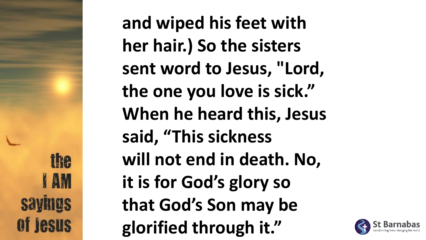the **AM** of **jesus**  **and wiped his feet with her hair.) So the sisters sent word to Jesus, "Lord, the one you love is sick." When he heard this, Jesus said, "This sickness will not end in death. No, it is for God's glory so that God's Son may be glorified through it."**

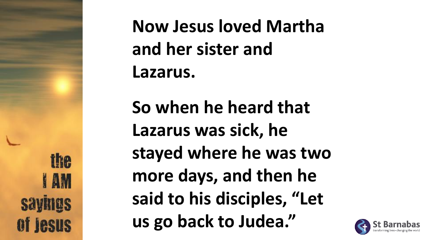ihe **AM** of **Jesus**  **Now Jesus loved Martha and her sister and Lazarus.**

**So when he heard that Lazarus was sick, he stayed where he was two more days, and then he said to his disciples, "Let us go back to Judea."**

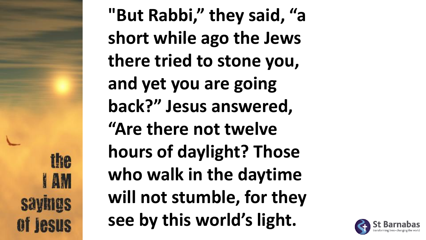fhe **JAM Savinus** of **jesus**  **"But Rabbi," they said, "a short while ago the Jews there tried to stone you, and yet you are going back?" Jesus answered, "Are there not twelve hours of daylight? Those who walk in the daytime will not stumble, for they see by this world's light.**

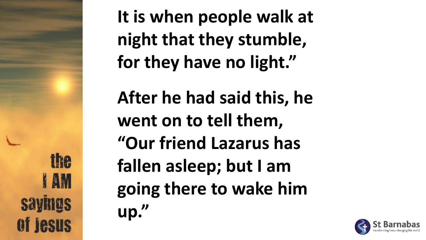the **I** AM

**It is when people walk at night that they stumble, for they have no light."**

**After he had said this, he went on to tell them, "Our friend Lazarus has fallen asleep; but I am going there to wake him up."**

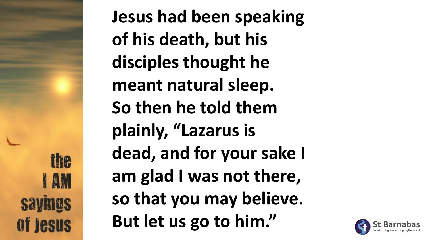ihe **AM** of **Jesus**  **Jesus had been speaking of his death, but his disciples thought he meant natural sleep. So then he told them plainly, "Lazarus is dead, and for your sake I am glad I was not there, so that you may believe. But let us go to him."**

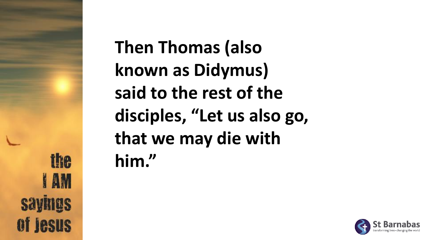the **AM Savings** of **Jesus**  **Then Thomas (also known as Didymus) said to the rest of the disciples, "Let us also go, that we may die with him."**

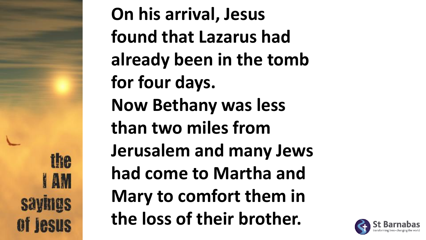ihe **JAM** of lesus

**On his arrival, Jesus found that Lazarus had already been in the tomb for four days. Now Bethany was less than two miles from Jerusalem and many Jews had come to Martha and Mary to comfort them in the loss of their brother.**

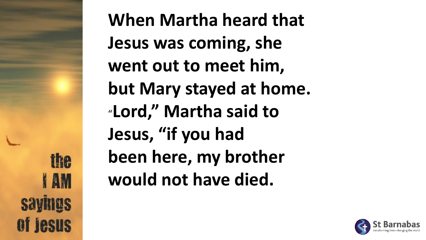the **JAM** of **Jesus** 

**When Martha heard that Jesus was coming, she went out to meet him, but Mary stayed at home.** "**Lord," Martha said to Jesus, "if you had been here, my brother would not have died.** 

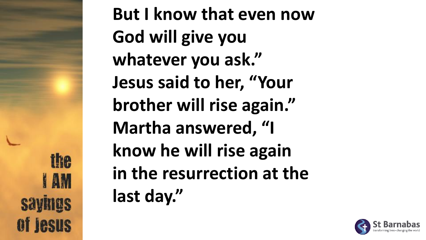fhe **JAM Savinus** of **Jesus** 

**But I know that even now God will give you whatever you ask." Jesus said to her, "Your brother will rise again." Martha answered, "I know he will rise again in the resurrection at the last day."**

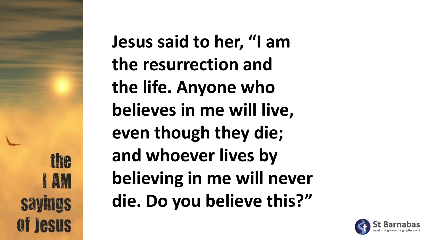ihe **AM** of lesus **Jesus said to her, "I am the resurrection and the life. Anyone who believes in me will live, even though they die; and whoever lives by believing in me will never die. Do you believe this?"**

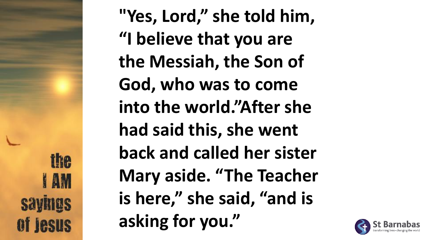fhe **AM** of **Jesus** 

**"Yes, Lord," she told him, "I believe that you are the Messiah, the Son of God, who was to come into the world."After she had said this, she went back and called her sister Mary aside. "The Teacher is here," she said, "and is asking for you."**

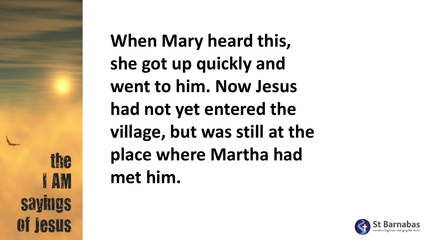the **AM** of lesus **When Mary heard this, she got up quickly and went to him. Now Jesus had not yet entered the village, but was still at the place where Martha had met him.**

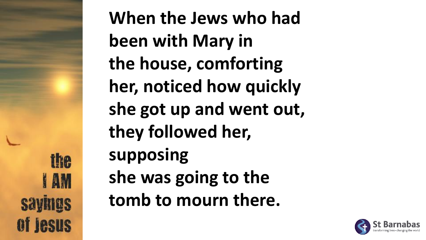ihe **AM** of lesus

**When the Jews who had been with Mary in the house, comforting her, noticed how quickly she got up and went out, they followed her, supposing she was going to the tomb to mourn there.**

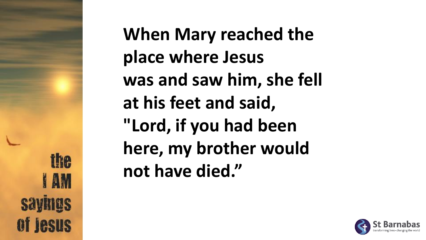ihe **AM** of lesus

**When Mary reached the place where Jesus was and saw him, she fell at his feet and said, "Lord, if you had been here, my brother would not have died."**

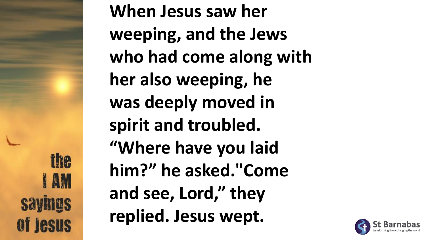ihe **JAM** of **jesus** 

**When Jesus saw her weeping, and the Jews who had come along with her also weeping, he was deeply moved in spirit and troubled. "Where have you laid him?" he asked."Come and see, Lord," they replied. Jesus wept.**

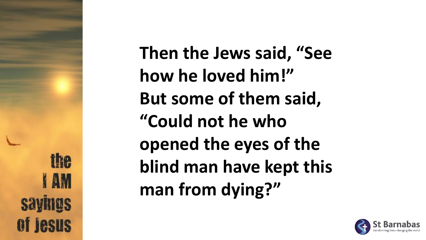ihe **I** AM of lesus **Then the Jews said, "See how he loved him!" But some of them said, "Could not he who opened the eyes of the blind man have kept this man from dying?"**

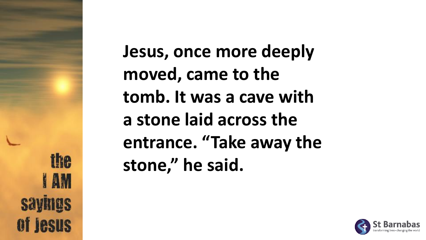ihe **AM** of **Jesus** 

**Jesus, once more deeply moved, came to the tomb. It was a cave with a stone laid across the entrance. "Take away the stone," he said.**

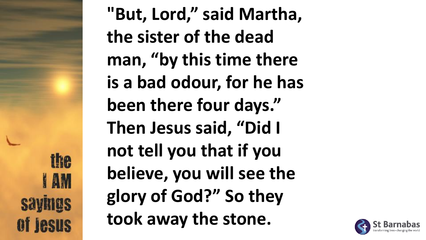fhe **JAM** of **Jesus** 

**"But, Lord," said Martha, the sister of the dead man, "by this time there is a bad odour, for he has been there four days." Then Jesus said, "Did I not tell you that if you believe, you will see the glory of God?" So they took away the stone.**

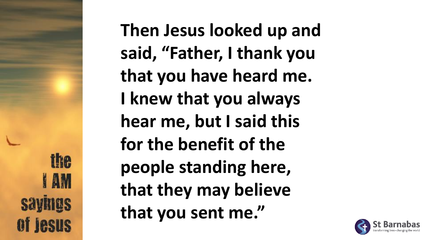Ine **AM**  **Then Jesus looked up and said, "Father, I thank you that you have heard me. I knew that you always hear me, but I said this for the benefit of the people standing here, that they may believe that you sent me."**

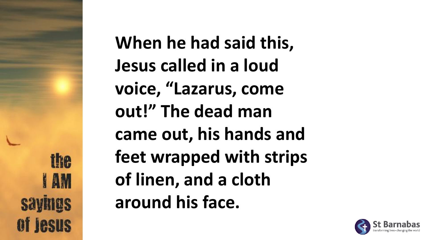ihe **I** AM of lesus **When he had said this, Jesus called in a loud voice, "Lazarus, come out!" The dead man came out, his hands and feet wrapped with strips of linen, and a cloth around his face.**

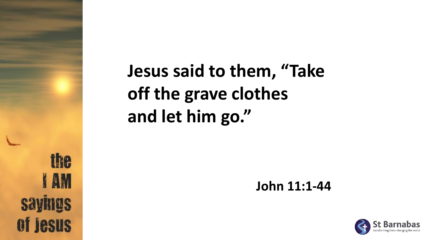the **I AM sayings** of **jesus** 

### **Jesus said to them, "Take off the grave clothes and let him go."**

**John 11:1-44**

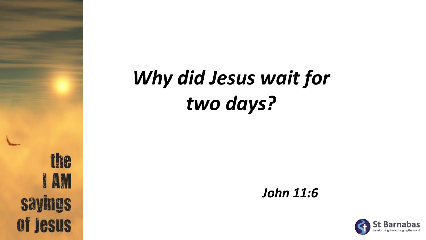## *Why did Jesus wait for two days?*



*John 11:6*

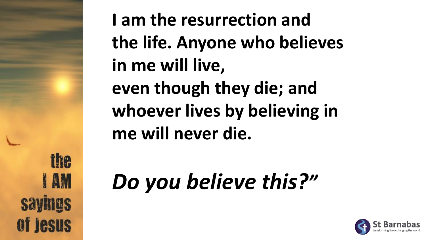ihe **JAM** of lesus

**I am the resurrection and the life. Anyone who believes in me will live, even though they die; and whoever lives by believing in me will never die.**

# *Do you believe this?"*

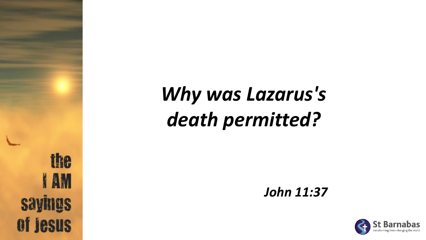the **I AM sayings** of **jesus** 

## *Why was Lazarus's death permitted?*

*John 11:37*